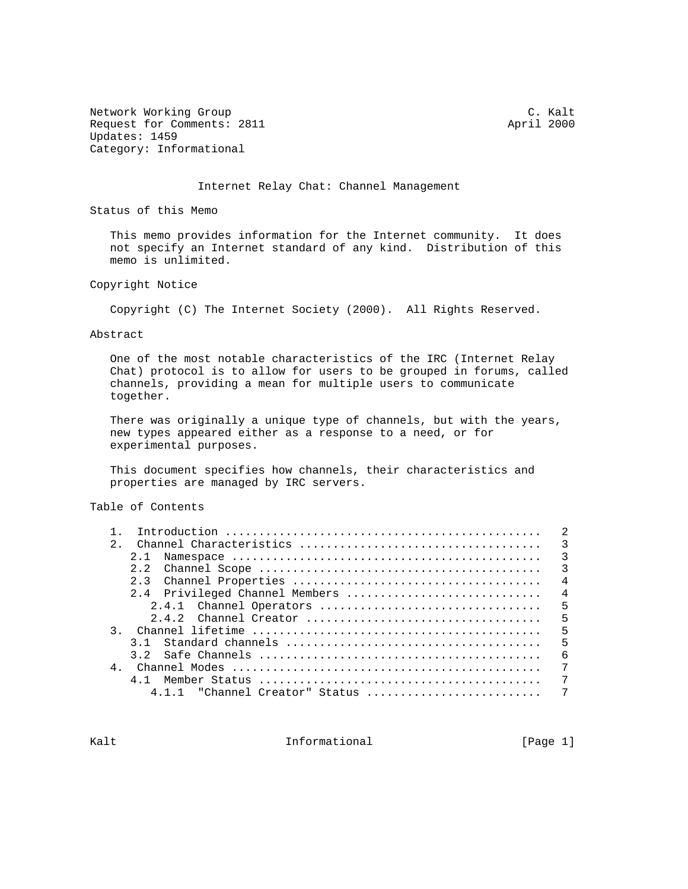Network Working Group C. C. Kalt Request for Comments: 2811 April 2000 Updates: 1459 Category: Informational

Internet Relay Chat: Channel Management

Status of this Memo

 This memo provides information for the Internet community. It does not specify an Internet standard of any kind. Distribution of this memo is unlimited.

Copyright Notice

Copyright (C) The Internet Society (2000). All Rights Reserved.

Abstract

 One of the most notable characteristics of the IRC (Internet Relay Chat) protocol is to allow for users to be grouped in forums, called channels, providing a mean for multiple users to communicate together.

 There was originally a unique type of channels, but with the years, new types appeared either as a response to a need, or for experimental purposes.

 This document specifies how channels, their characteristics and properties are managed by IRC servers.

Table of Contents

| $2^{\circ}$    |                                   |   |
|----------------|-----------------------------------|---|
|                | 2.1                               |   |
|                |                                   |   |
|                |                                   |   |
|                | 2.4 Privileged Channel Members  4 |   |
|                |                                   |   |
|                |                                   |   |
|                |                                   | 5 |
|                |                                   |   |
|                | - 6                               |   |
| $\overline{4}$ |                                   | 7 |
|                |                                   | 7 |
|                | $4.1.1$ "Channel Creator" Status  | 7 |
|                |                                   |   |

Kalt **Informational** Informational [Page 1]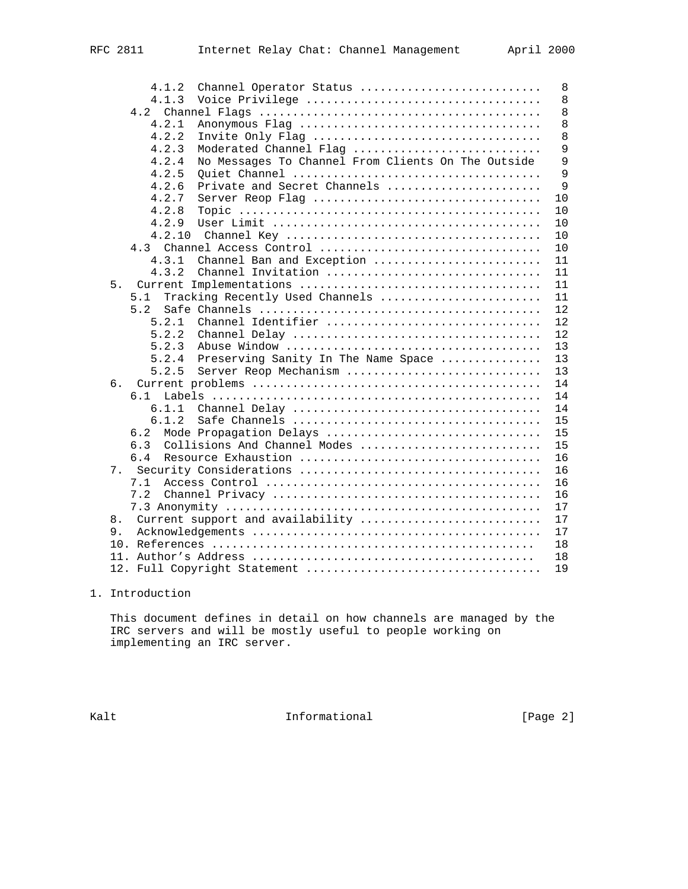| 4.1.2<br>Channel Operator Status                            | 8  |
|-------------------------------------------------------------|----|
| 4.1.3                                                       | 8  |
| 4.2                                                         | 8  |
| 4.2.1                                                       | 8  |
| 4.2.2<br>Invite Only Flag                                   | 8  |
| 4.2.3<br>Moderated Channel Flag                             | 9  |
| No Messages To Channel From Clients On The Outside<br>4.2.4 | 9  |
| 4.2.5                                                       | 9  |
| Private and Secret Channels<br>4.2.6                        | 9  |
| 4.2.7<br>Server Reop Flag                                   | 10 |
| 4.2.8                                                       | 10 |
| 4.2.9                                                       | 10 |
| 4.2.10                                                      | 10 |
| 4.3 Channel Access Control                                  | 10 |
| 4.3.1<br>Channel Ban and Exception                          | 11 |
| 4.3.2<br>Channel Invitation                                 | 11 |
| 5.                                                          | 11 |
| Tracking Recently Used Channels<br>5.1                      | 11 |
| 5.2                                                         | 12 |
| Channel Identifier<br>5.2.1                                 | 12 |
| 5.2.2                                                       | 12 |
| 5.2.3                                                       | 13 |
| 5.2.4<br>Preserving Sanity In The Name Space                | 13 |
| 5.2.5<br>Server Reop Mechanism                              | 13 |
| б.                                                          | 14 |
| 6.1                                                         | 14 |
| 6.1.1                                                       | 14 |
| 6.1.2                                                       | 15 |
| Mode Propagation Delays<br>6.2                              | 15 |
| 6.3<br>Collisions And Channel Modes                         | 15 |
| 6.4                                                         | 16 |
| 7.                                                          | 16 |
| 7.1                                                         | 16 |
| 7.2                                                         | 16 |
|                                                             | 17 |
| 8.<br>Current support and availability                      | 17 |
| 9.                                                          | 17 |
|                                                             | 18 |
|                                                             | 18 |
|                                                             | 19 |

# 1. Introduction

 This document defines in detail on how channels are managed by the IRC servers and will be mostly useful to people working on implementing an IRC server.

Kalt **Informational Informational** [Page 2]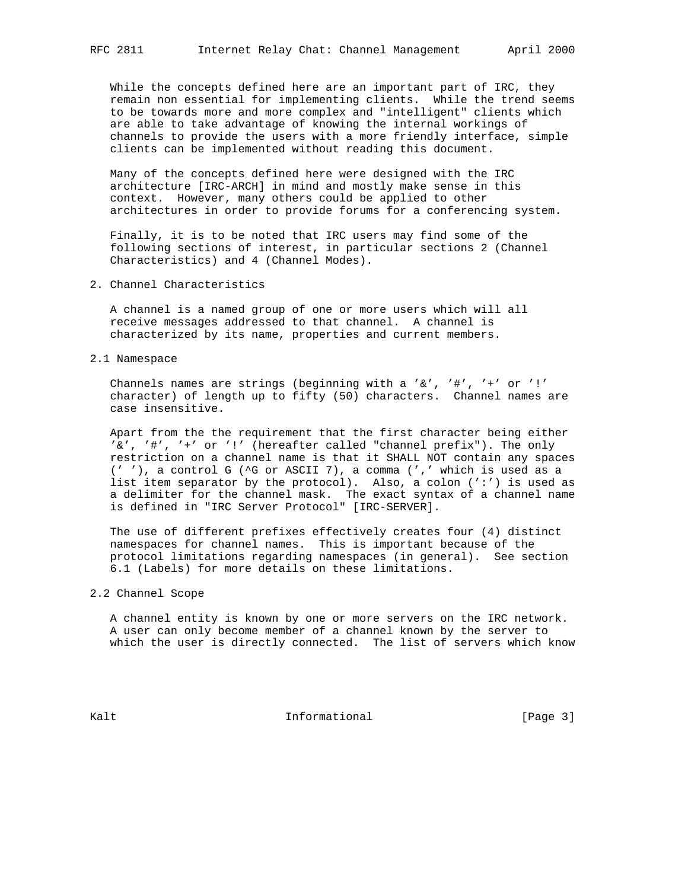While the concepts defined here are an important part of IRC, they remain non essential for implementing clients. While the trend seems to be towards more and more complex and "intelligent" clients which are able to take advantage of knowing the internal workings of channels to provide the users with a more friendly interface, simple clients can be implemented without reading this document.

 Many of the concepts defined here were designed with the IRC architecture [IRC-ARCH] in mind and mostly make sense in this context. However, many others could be applied to other architectures in order to provide forums for a conferencing system.

 Finally, it is to be noted that IRC users may find some of the following sections of interest, in particular sections 2 (Channel Characteristics) and 4 (Channel Modes).

2. Channel Characteristics

 A channel is a named group of one or more users which will all receive messages addressed to that channel. A channel is characterized by its name, properties and current members.

2.1 Namespace

 Channels names are strings (beginning with a '&', '#', '+' or '!' character) of length up to fifty (50) characters. Channel names are case insensitive.

 Apart from the the requirement that the first character being either '&', '#', '+' or '!' (hereafter called "channel prefix"). The only restriction on a channel name is that it SHALL NOT contain any spaces (' '), a control G (^G or ASCII 7), a comma (',' which is used as a list item separator by the protocol). Also, a colon (':') is used as a delimiter for the channel mask. The exact syntax of a channel name is defined in "IRC Server Protocol" [IRC-SERVER].

 The use of different prefixes effectively creates four (4) distinct namespaces for channel names. This is important because of the protocol limitations regarding namespaces (in general). See section 6.1 (Labels) for more details on these limitations.

## 2.2 Channel Scope

 A channel entity is known by one or more servers on the IRC network. A user can only become member of a channel known by the server to which the user is directly connected. The list of servers which know

Kalt **Informational** Informational [Page 3]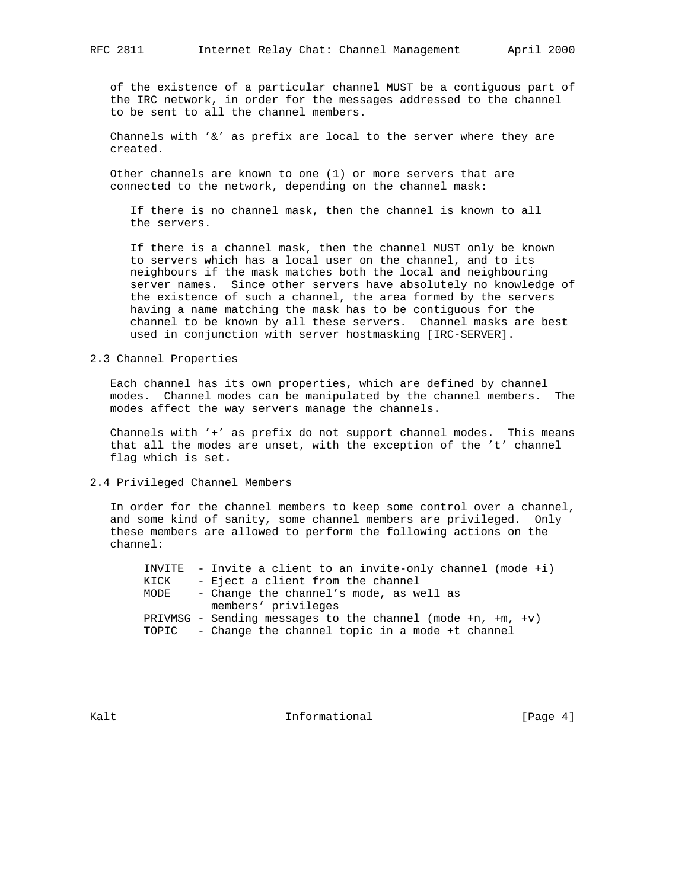of the existence of a particular channel MUST be a contiguous part of the IRC network, in order for the messages addressed to the channel to be sent to all the channel members.

Channels with  $'$  &' as prefix are local to the server where they are created.

 Other channels are known to one (1) or more servers that are connected to the network, depending on the channel mask:

 If there is no channel mask, then the channel is known to all the servers.

 If there is a channel mask, then the channel MUST only be known to servers which has a local user on the channel, and to its neighbours if the mask matches both the local and neighbouring server names. Since other servers have absolutely no knowledge of the existence of such a channel, the area formed by the servers having a name matching the mask has to be contiguous for the channel to be known by all these servers. Channel masks are best used in conjunction with server hostmasking [IRC-SERVER].

### 2.3 Channel Properties

 Each channel has its own properties, which are defined by channel modes. Channel modes can be manipulated by the channel members. The modes affect the way servers manage the channels.

 Channels with '+' as prefix do not support channel modes. This means that all the modes are unset, with the exception of the 't' channel flag which is set.

#### 2.4 Privileged Channel Members

 In order for the channel members to keep some control over a channel, and some kind of sanity, some channel members are privileged. Only these members are allowed to perform the following actions on the channel:

|      | INVITE - Invite a client to an invite-only channel (mode $+i$ )      |
|------|----------------------------------------------------------------------|
| KICK | - Eject a client from the channel                                    |
| MODE | - Change the channel's mode, as well as                              |
|      | members' privileges                                                  |
|      | PRIVMSG - Sending messages to the channel (mode $+n$ , $+m$ , $+v$ ) |
|      | TOPIC - Change the channel topic in a mode +t channel                |

Kalt **Informational** Informational [Page 4]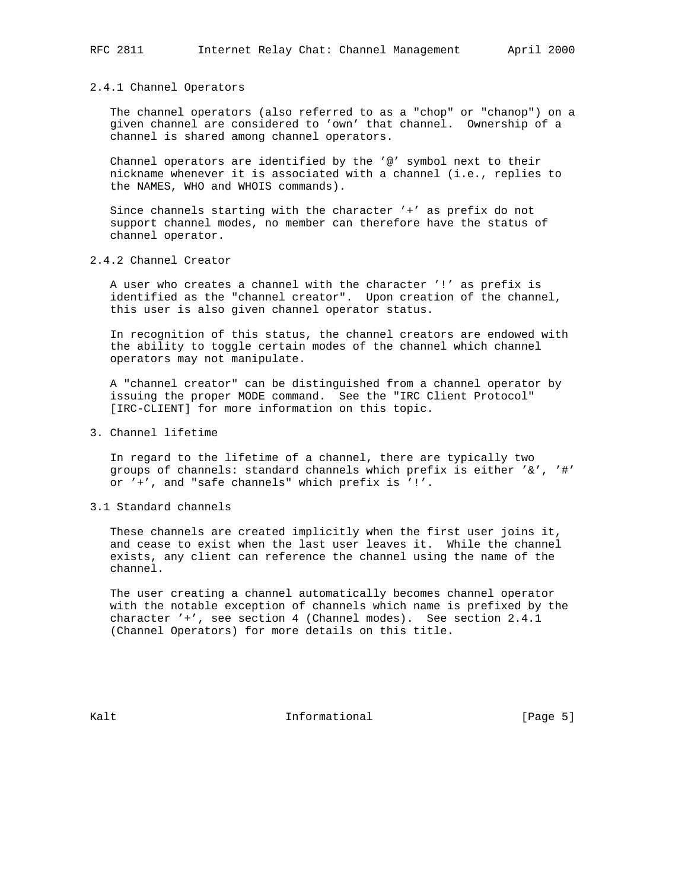#### 2.4.1 Channel Operators

 The channel operators (also referred to as a "chop" or "chanop") on a given channel are considered to 'own' that channel. Ownership of a channel is shared among channel operators.

 Channel operators are identified by the '@' symbol next to their nickname whenever it is associated with a channel (i.e., replies to the NAMES, WHO and WHOIS commands).

 Since channels starting with the character '+' as prefix do not support channel modes, no member can therefore have the status of channel operator.

2.4.2 Channel Creator

 A user who creates a channel with the character '!' as prefix is identified as the "channel creator". Upon creation of the channel, this user is also given channel operator status.

 In recognition of this status, the channel creators are endowed with the ability to toggle certain modes of the channel which channel operators may not manipulate.

 A "channel creator" can be distinguished from a channel operator by issuing the proper MODE command. See the "IRC Client Protocol" [IRC-CLIENT] for more information on this topic.

3. Channel lifetime

 In regard to the lifetime of a channel, there are typically two groups of channels: standard channels which prefix is either '&', '#' or '+', and "safe channels" which prefix is '!'.

3.1 Standard channels

 These channels are created implicitly when the first user joins it, and cease to exist when the last user leaves it. While the channel exists, any client can reference the channel using the name of the channel.

 The user creating a channel automatically becomes channel operator with the notable exception of channels which name is prefixed by the character '+', see section 4 (Channel modes). See section 2.4.1 (Channel Operators) for more details on this title.

Kalt **Informational** Informational [Page 5]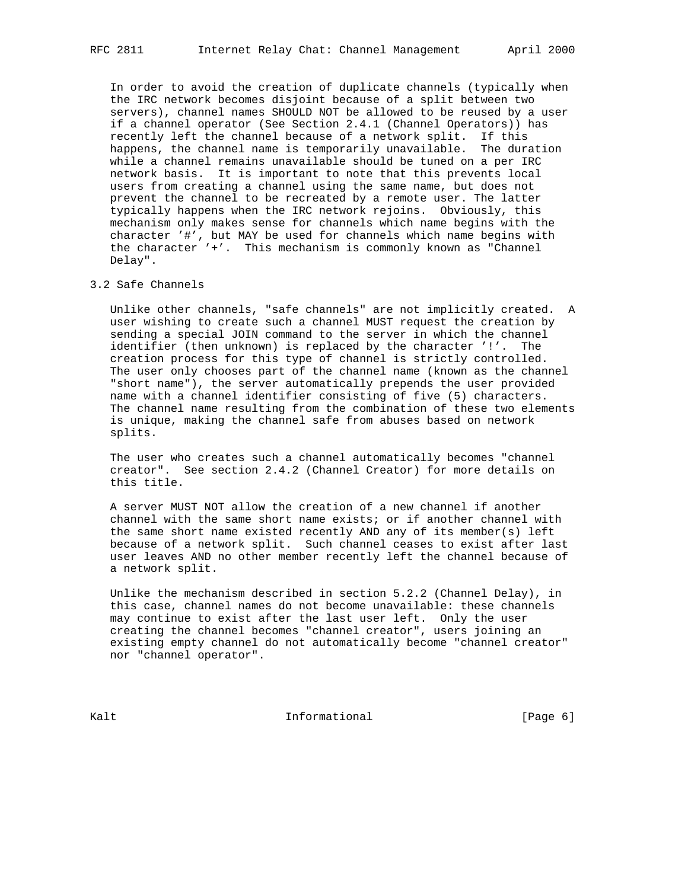In order to avoid the creation of duplicate channels (typically when the IRC network becomes disjoint because of a split between two servers), channel names SHOULD NOT be allowed to be reused by a user if a channel operator (See Section 2.4.1 (Channel Operators)) has recently left the channel because of a network split. If this happens, the channel name is temporarily unavailable. The duration while a channel remains unavailable should be tuned on a per IRC network basis. It is important to note that this prevents local users from creating a channel using the same name, but does not prevent the channel to be recreated by a remote user. The latter typically happens when the IRC network rejoins. Obviously, this mechanism only makes sense for channels which name begins with the character '#', but MAY be used for channels which name begins with the character '+'. This mechanism is commonly known as "Channel Delay".

#### 3.2 Safe Channels

 Unlike other channels, "safe channels" are not implicitly created. A user wishing to create such a channel MUST request the creation by sending a special JOIN command to the server in which the channel identifier (then unknown) is replaced by the character '!'. The creation process for this type of channel is strictly controlled. The user only chooses part of the channel name (known as the channel "short name"), the server automatically prepends the user provided name with a channel identifier consisting of five (5) characters. The channel name resulting from the combination of these two elements is unique, making the channel safe from abuses based on network splits.

 The user who creates such a channel automatically becomes "channel creator". See section 2.4.2 (Channel Creator) for more details on this title.

 A server MUST NOT allow the creation of a new channel if another channel with the same short name exists; or if another channel with the same short name existed recently AND any of its member(s) left because of a network split. Such channel ceases to exist after last user leaves AND no other member recently left the channel because of a network split.

 Unlike the mechanism described in section 5.2.2 (Channel Delay), in this case, channel names do not become unavailable: these channels may continue to exist after the last user left. Only the user creating the channel becomes "channel creator", users joining an existing empty channel do not automatically become "channel creator" nor "channel operator".

Kalt **Informational** Informational [Page 6]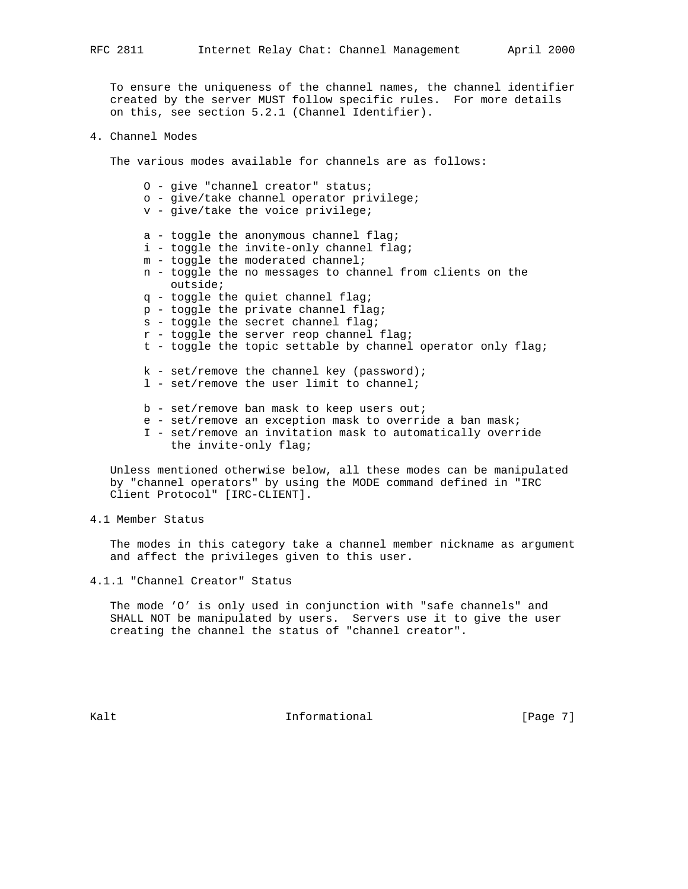To ensure the uniqueness of the channel names, the channel identifier created by the server MUST follow specific rules. For more details on this, see section 5.2.1 (Channel Identifier).

# 4. Channel Modes

The various modes available for channels are as follows:

 O - give "channel creator" status; o - give/take channel operator privilege; v - give/take the voice privilege; a - toggle the anonymous channel flag; i - toggle the invite-only channel flag; m - toggle the moderated channel; n - toggle the no messages to channel from clients on the outside; q - toggle the quiet channel flag; p - toggle the private channel flag; s - toggle the secret channel flag; r - toggle the server reop channel flag; t - toggle the topic settable by channel operator only flag;  $k$  - set/remove the channel key (password); l - set/remove the user limit to channel; b - set/remove ban mask to keep users out; e - set/remove an exception mask to override a ban mask; I - set/remove an invitation mask to automatically override the invite-only flag;

 Unless mentioned otherwise below, all these modes can be manipulated by "channel operators" by using the MODE command defined in "IRC Client Protocol" [IRC-CLIENT].

4.1 Member Status

 The modes in this category take a channel member nickname as argument and affect the privileges given to this user.

4.1.1 "Channel Creator" Status

 The mode 'O' is only used in conjunction with "safe channels" and SHALL NOT be manipulated by users. Servers use it to give the user creating the channel the status of "channel creator".

Kalt **Informational** Informational [Page 7]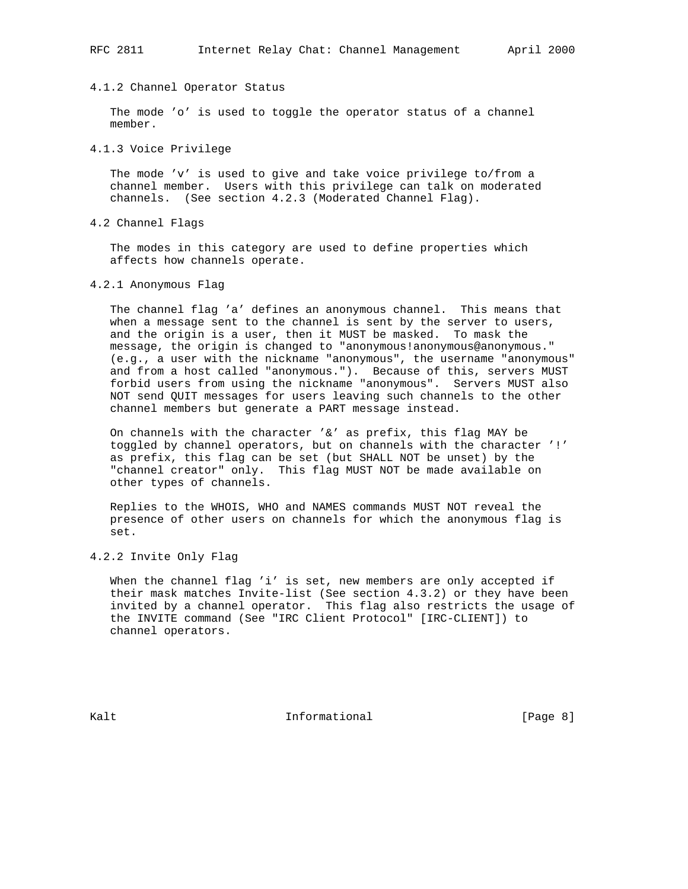## 4.1.2 Channel Operator Status

 The mode 'o' is used to toggle the operator status of a channel member.

4.1.3 Voice Privilege

 The mode 'v' is used to give and take voice privilege to/from a channel member. Users with this privilege can talk on moderated channels. (See section 4.2.3 (Moderated Channel Flag).

4.2 Channel Flags

 The modes in this category are used to define properties which affects how channels operate.

4.2.1 Anonymous Flag

 The channel flag 'a' defines an anonymous channel. This means that when a message sent to the channel is sent by the server to users, and the origin is a user, then it MUST be masked. To mask the message, the origin is changed to "anonymous!anonymous@anonymous." (e.g., a user with the nickname "anonymous", the username "anonymous" and from a host called "anonymous."). Because of this, servers MUST forbid users from using the nickname "anonymous". Servers MUST also NOT send QUIT messages for users leaving such channels to the other channel members but generate a PART message instead.

 On channels with the character '&' as prefix, this flag MAY be toggled by channel operators, but on channels with the character '!' as prefix, this flag can be set (but SHALL NOT be unset) by the "channel creator" only. This flag MUST NOT be made available on other types of channels.

 Replies to the WHOIS, WHO and NAMES commands MUST NOT reveal the presence of other users on channels for which the anonymous flag is set.

4.2.2 Invite Only Flag

 When the channel flag 'i' is set, new members are only accepted if their mask matches Invite-list (See section 4.3.2) or they have been invited by a channel operator. This flag also restricts the usage of the INVITE command (See "IRC Client Protocol" [IRC-CLIENT]) to channel operators.

Kalt **Informational** Informational [Page 8]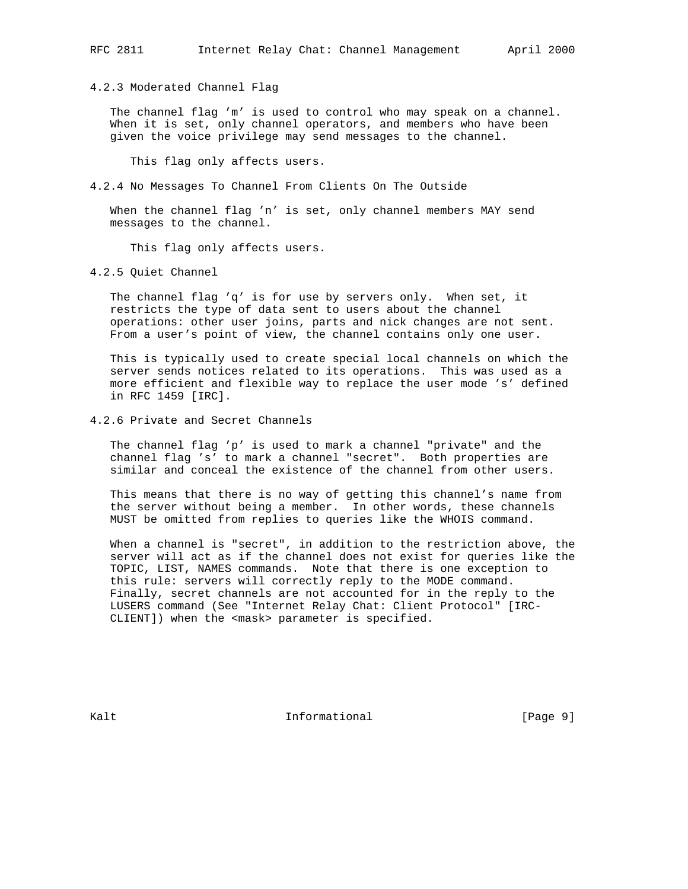4.2.3 Moderated Channel Flag

 The channel flag 'm' is used to control who may speak on a channel. When it is set, only channel operators, and members who have been given the voice privilege may send messages to the channel.

This flag only affects users.

4.2.4 No Messages To Channel From Clients On The Outside

 When the channel flag 'n' is set, only channel members MAY send messages to the channel.

This flag only affects users.

4.2.5 Quiet Channel

 The channel flag 'q' is for use by servers only. When set, it restricts the type of data sent to users about the channel operations: other user joins, parts and nick changes are not sent. From a user's point of view, the channel contains only one user.

 This is typically used to create special local channels on which the server sends notices related to its operations. This was used as a more efficient and flexible way to replace the user mode 's' defined in RFC 1459 [IRC].

4.2.6 Private and Secret Channels

 The channel flag 'p' is used to mark a channel "private" and the channel flag 's' to mark a channel "secret". Both properties are similar and conceal the existence of the channel from other users.

 This means that there is no way of getting this channel's name from the server without being a member. In other words, these channels MUST be omitted from replies to queries like the WHOIS command.

 When a channel is "secret", in addition to the restriction above, the server will act as if the channel does not exist for queries like the TOPIC, LIST, NAMES commands. Note that there is one exception to this rule: servers will correctly reply to the MODE command. Finally, secret channels are not accounted for in the reply to the LUSERS command (See "Internet Relay Chat: Client Protocol" [IRC- CLIENT]) when the <mask> parameter is specified.

Kalt **Informational** Informational [Page 9]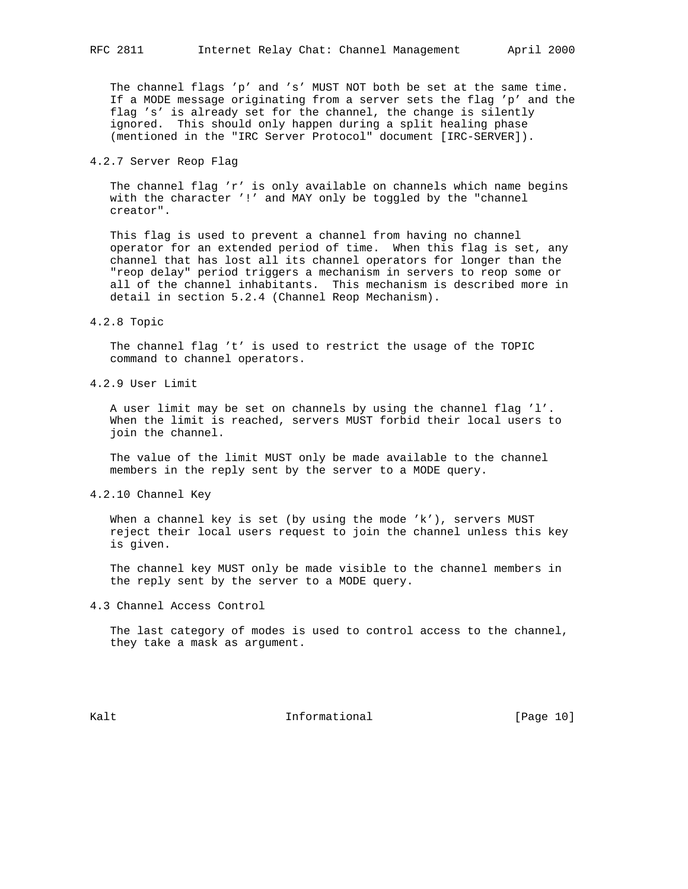The channel flags 'p' and 's' MUST NOT both be set at the same time. If a MODE message originating from a server sets the flag 'p' and the flag 's' is already set for the channel, the change is silently ignored. This should only happen during a split healing phase (mentioned in the "IRC Server Protocol" document [IRC-SERVER]).

## 4.2.7 Server Reop Flag

 The channel flag 'r' is only available on channels which name begins with the character '!' and MAY only be toggled by the "channel creator".

 This flag is used to prevent a channel from having no channel operator for an extended period of time. When this flag is set, any channel that has lost all its channel operators for longer than the "reop delay" period triggers a mechanism in servers to reop some or all of the channel inhabitants. This mechanism is described more in detail in section 5.2.4 (Channel Reop Mechanism).

#### 4.2.8 Topic

 The channel flag 't' is used to restrict the usage of the TOPIC command to channel operators.

4.2.9 User Limit

 A user limit may be set on channels by using the channel flag 'l'. When the limit is reached, servers MUST forbid their local users to join the channel.

 The value of the limit MUST only be made available to the channel members in the reply sent by the server to a MODE query.

4.2.10 Channel Key

When a channel key is set (by using the mode 'k'), servers MUST reject their local users request to join the channel unless this key is given.

 The channel key MUST only be made visible to the channel members in the reply sent by the server to a MODE query.

4.3 Channel Access Control

 The last category of modes is used to control access to the channel, they take a mask as argument.

Kalt **Informational Informational** [Page 10]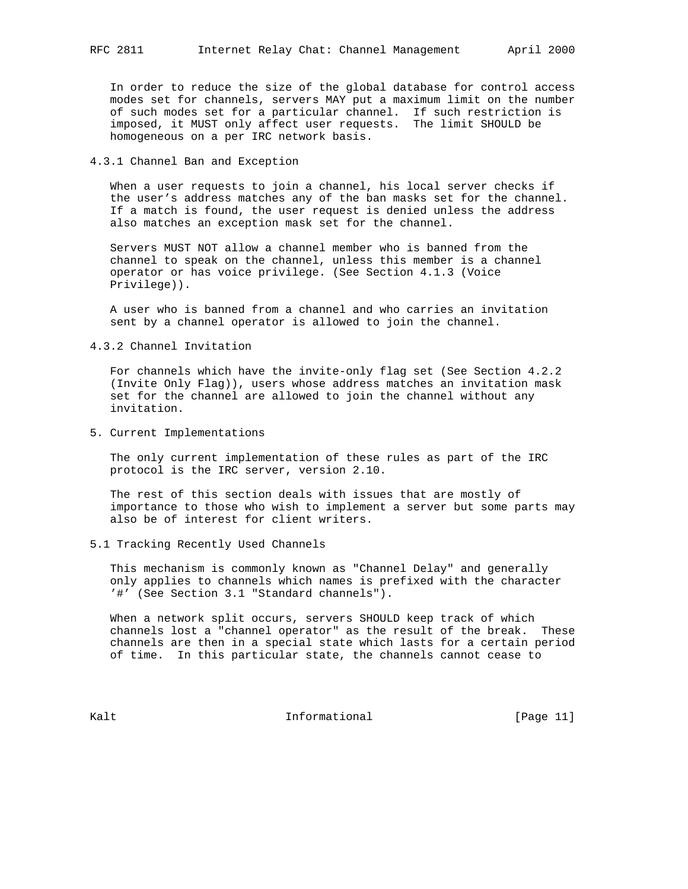In order to reduce the size of the global database for control access modes set for channels, servers MAY put a maximum limit on the number of such modes set for a particular channel. If such restriction is imposed, it MUST only affect user requests. The limit SHOULD be homogeneous on a per IRC network basis.

4.3.1 Channel Ban and Exception

 When a user requests to join a channel, his local server checks if the user's address matches any of the ban masks set for the channel. If a match is found, the user request is denied unless the address also matches an exception mask set for the channel.

 Servers MUST NOT allow a channel member who is banned from the channel to speak on the channel, unless this member is a channel operator or has voice privilege. (See Section 4.1.3 (Voice Privilege)).

 A user who is banned from a channel and who carries an invitation sent by a channel operator is allowed to join the channel.

4.3.2 Channel Invitation

 For channels which have the invite-only flag set (See Section 4.2.2 (Invite Only Flag)), users whose address matches an invitation mask set for the channel are allowed to join the channel without any invitation.

5. Current Implementations

 The only current implementation of these rules as part of the IRC protocol is the IRC server, version 2.10.

 The rest of this section deals with issues that are mostly of importance to those who wish to implement a server but some parts may also be of interest for client writers.

5.1 Tracking Recently Used Channels

 This mechanism is commonly known as "Channel Delay" and generally only applies to channels which names is prefixed with the character '#' (See Section 3.1 "Standard channels").

 When a network split occurs, servers SHOULD keep track of which channels lost a "channel operator" as the result of the break. These channels are then in a special state which lasts for a certain period of time. In this particular state, the channels cannot cease to

Kalt **Informational Informational** [Page 11]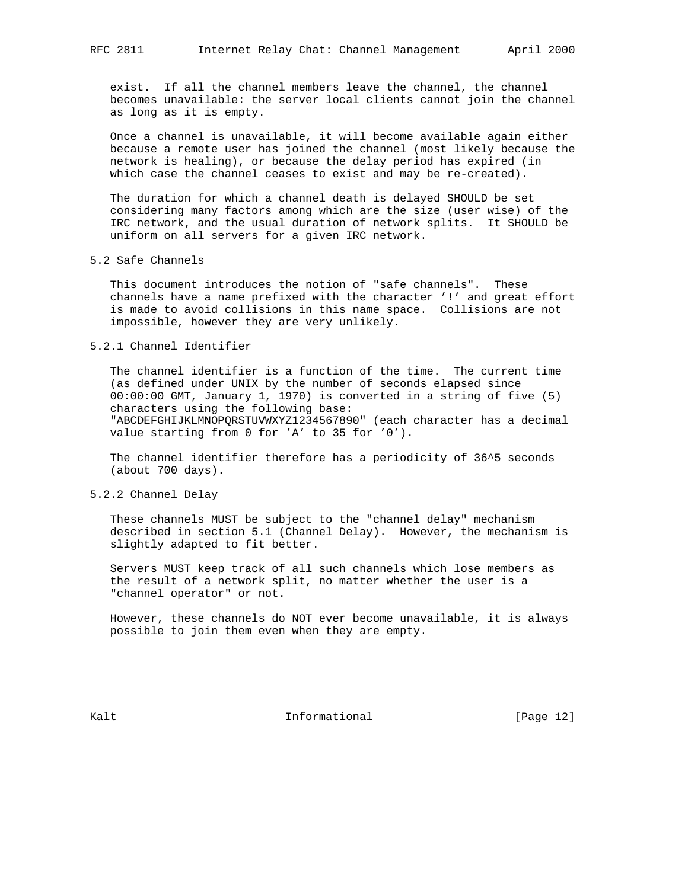exist. If all the channel members leave the channel, the channel becomes unavailable: the server local clients cannot join the channel as long as it is empty.

 Once a channel is unavailable, it will become available again either because a remote user has joined the channel (most likely because the network is healing), or because the delay period has expired (in which case the channel ceases to exist and may be re-created).

 The duration for which a channel death is delayed SHOULD be set considering many factors among which are the size (user wise) of the IRC network, and the usual duration of network splits. It SHOULD be uniform on all servers for a given IRC network.

#### 5.2 Safe Channels

 This document introduces the notion of "safe channels". These channels have a name prefixed with the character '!' and great effort is made to avoid collisions in this name space. Collisions are not impossible, however they are very unlikely.

## 5.2.1 Channel Identifier

 The channel identifier is a function of the time. The current time (as defined under UNIX by the number of seconds elapsed since 00:00:00 GMT, January 1, 1970) is converted in a string of five (5) characters using the following base: "ABCDEFGHIJKLMNOPQRSTUVWXYZ1234567890" (each character has a decimal value starting from 0 for 'A' to 35 for '0').

 The channel identifier therefore has a periodicity of 36^5 seconds (about 700 days).

## 5.2.2 Channel Delay

 These channels MUST be subject to the "channel delay" mechanism described in section 5.1 (Channel Delay). However, the mechanism is slightly adapted to fit better.

 Servers MUST keep track of all such channels which lose members as the result of a network split, no matter whether the user is a "channel operator" or not.

 However, these channels do NOT ever become unavailable, it is always possible to join them even when they are empty.

Kalt **Informational Informational** [Page 12]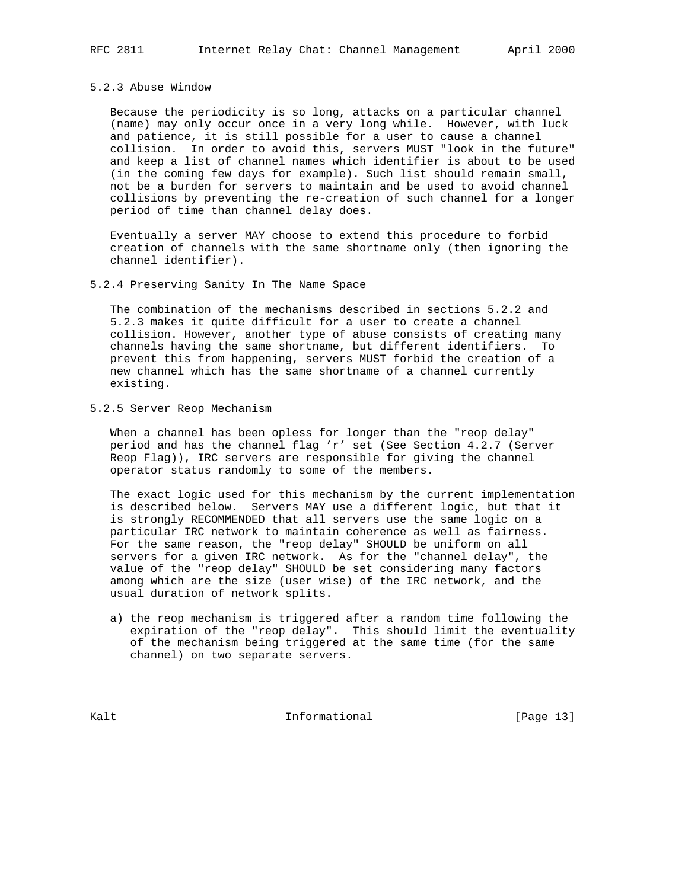#### 5.2.3 Abuse Window

 Because the periodicity is so long, attacks on a particular channel (name) may only occur once in a very long while. However, with luck and patience, it is still possible for a user to cause a channel collision. In order to avoid this, servers MUST "look in the future" and keep a list of channel names which identifier is about to be used (in the coming few days for example). Such list should remain small, not be a burden for servers to maintain and be used to avoid channel collisions by preventing the re-creation of such channel for a longer period of time than channel delay does.

 Eventually a server MAY choose to extend this procedure to forbid creation of channels with the same shortname only (then ignoring the channel identifier).

## 5.2.4 Preserving Sanity In The Name Space

 The combination of the mechanisms described in sections 5.2.2 and 5.2.3 makes it quite difficult for a user to create a channel collision. However, another type of abuse consists of creating many channels having the same shortname, but different identifiers. To prevent this from happening, servers MUST forbid the creation of a new channel which has the same shortname of a channel currently existing.

## 5.2.5 Server Reop Mechanism

 When a channel has been opless for longer than the "reop delay" period and has the channel flag 'r' set (See Section 4.2.7 (Server Reop Flag)), IRC servers are responsible for giving the channel operator status randomly to some of the members.

 The exact logic used for this mechanism by the current implementation is described below. Servers MAY use a different logic, but that it is strongly RECOMMENDED that all servers use the same logic on a particular IRC network to maintain coherence as well as fairness. For the same reason, the "reop delay" SHOULD be uniform on all servers for a given IRC network. As for the "channel delay", the value of the "reop delay" SHOULD be set considering many factors among which are the size (user wise) of the IRC network, and the usual duration of network splits.

 a) the reop mechanism is triggered after a random time following the expiration of the "reop delay". This should limit the eventuality of the mechanism being triggered at the same time (for the same channel) on two separate servers.

Kalt **Informational Informational** [Page 13]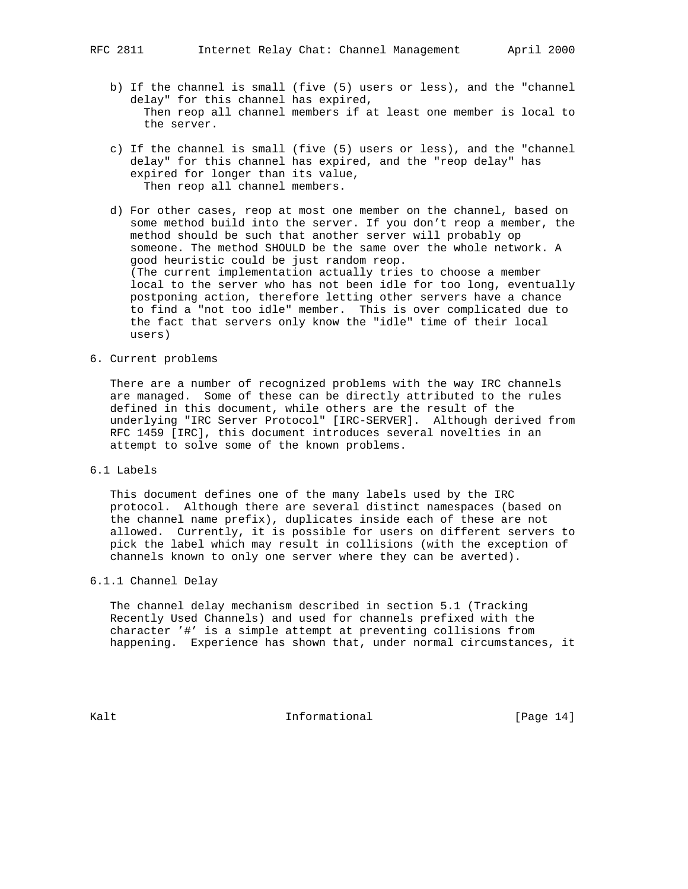- b) If the channel is small (five (5) users or less), and the "channel delay" for this channel has expired, Then reop all channel members if at least one member is local to the server.
- c) If the channel is small (five (5) users or less), and the "channel delay" for this channel has expired, and the "reop delay" has expired for longer than its value, Then reop all channel members.
- d) For other cases, reop at most one member on the channel, based on some method build into the server. If you don't reop a member, the method should be such that another server will probably op someone. The method SHOULD be the same over the whole network. A good heuristic could be just random reop. (The current implementation actually tries to choose a member local to the server who has not been idle for too long, eventually postponing action, therefore letting other servers have a chance to find a "not too idle" member. This is over complicated due to the fact that servers only know the "idle" time of their local users)
- 6. Current problems

 There are a number of recognized problems with the way IRC channels are managed. Some of these can be directly attributed to the rules defined in this document, while others are the result of the underlying "IRC Server Protocol" [IRC-SERVER]. Although derived from RFC 1459 [IRC], this document introduces several novelties in an attempt to solve some of the known problems.

6.1 Labels

 This document defines one of the many labels used by the IRC protocol. Although there are several distinct namespaces (based on the channel name prefix), duplicates inside each of these are not allowed. Currently, it is possible for users on different servers to pick the label which may result in collisions (with the exception of channels known to only one server where they can be averted).

6.1.1 Channel Delay

 The channel delay mechanism described in section 5.1 (Tracking Recently Used Channels) and used for channels prefixed with the character '#' is a simple attempt at preventing collisions from happening. Experience has shown that, under normal circumstances, it

Kalt **Informational Informational** [Page 14]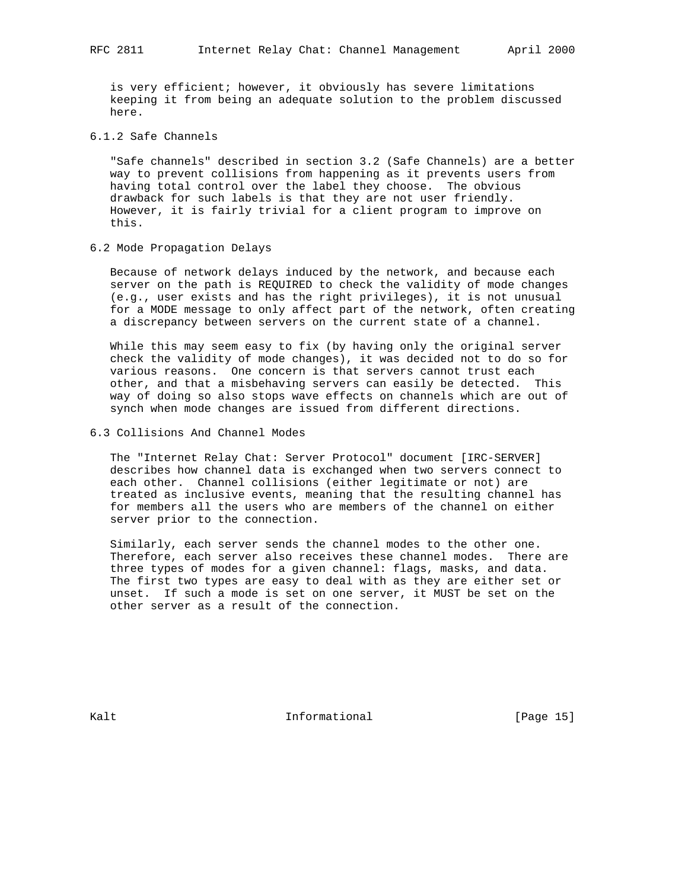is very efficient; however, it obviously has severe limitations keeping it from being an adequate solution to the problem discussed here.

# 6.1.2 Safe Channels

 "Safe channels" described in section 3.2 (Safe Channels) are a better way to prevent collisions from happening as it prevents users from having total control over the label they choose. The obvious drawback for such labels is that they are not user friendly. However, it is fairly trivial for a client program to improve on this.

#### 6.2 Mode Propagation Delays

 Because of network delays induced by the network, and because each server on the path is REQUIRED to check the validity of mode changes (e.g., user exists and has the right privileges), it is not unusual for a MODE message to only affect part of the network, often creating a discrepancy between servers on the current state of a channel.

 While this may seem easy to fix (by having only the original server check the validity of mode changes), it was decided not to do so for various reasons. One concern is that servers cannot trust each other, and that a misbehaving servers can easily be detected. This way of doing so also stops wave effects on channels which are out of synch when mode changes are issued from different directions.

# 6.3 Collisions And Channel Modes

 The "Internet Relay Chat: Server Protocol" document [IRC-SERVER] describes how channel data is exchanged when two servers connect to each other. Channel collisions (either legitimate or not) are treated as inclusive events, meaning that the resulting channel has for members all the users who are members of the channel on either server prior to the connection.

 Similarly, each server sends the channel modes to the other one. Therefore, each server also receives these channel modes. There are three types of modes for a given channel: flags, masks, and data. The first two types are easy to deal with as they are either set or unset. If such a mode is set on one server, it MUST be set on the other server as a result of the connection.

Kalt **Informational Informational** [Page 15]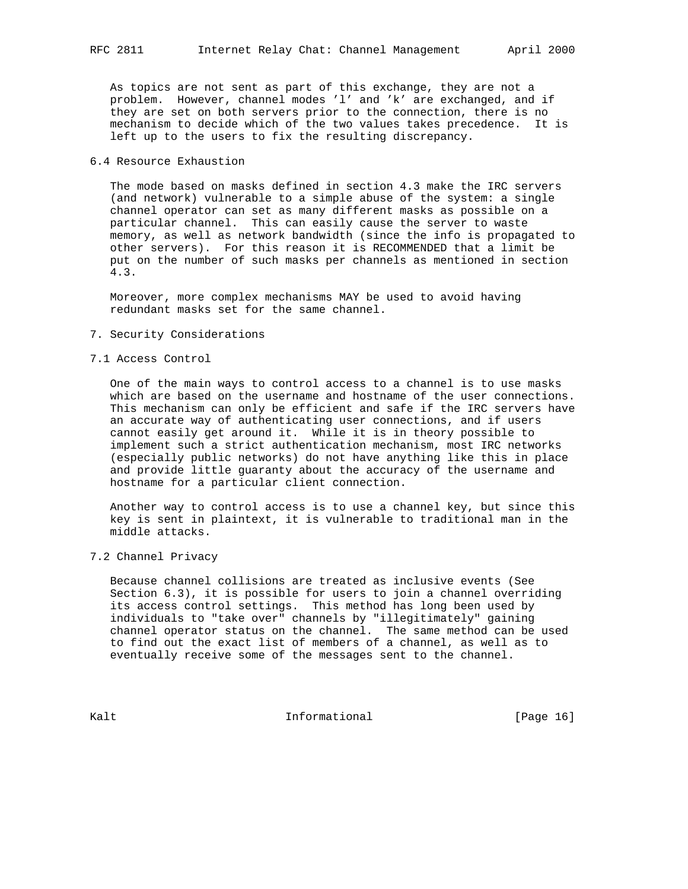As topics are not sent as part of this exchange, they are not a problem. However, channel modes 'l' and 'k' are exchanged, and if they are set on both servers prior to the connection, there is no mechanism to decide which of the two values takes precedence. It is left up to the users to fix the resulting discrepancy.

## 6.4 Resource Exhaustion

 The mode based on masks defined in section 4.3 make the IRC servers (and network) vulnerable to a simple abuse of the system: a single channel operator can set as many different masks as possible on a particular channel. This can easily cause the server to waste memory, as well as network bandwidth (since the info is propagated to other servers). For this reason it is RECOMMENDED that a limit be put on the number of such masks per channels as mentioned in section 4.3.

 Moreover, more complex mechanisms MAY be used to avoid having redundant masks set for the same channel.

#### 7. Security Considerations

### 7.1 Access Control

 One of the main ways to control access to a channel is to use masks which are based on the username and hostname of the user connections. This mechanism can only be efficient and safe if the IRC servers have an accurate way of authenticating user connections, and if users cannot easily get around it. While it is in theory possible to implement such a strict authentication mechanism, most IRC networks (especially public networks) do not have anything like this in place and provide little guaranty about the accuracy of the username and hostname for a particular client connection.

 Another way to control access is to use a channel key, but since this key is sent in plaintext, it is vulnerable to traditional man in the middle attacks.

7.2 Channel Privacy

 Because channel collisions are treated as inclusive events (See Section 6.3), it is possible for users to join a channel overriding its access control settings. This method has long been used by individuals to "take over" channels by "illegitimately" gaining channel operator status on the channel. The same method can be used to find out the exact list of members of a channel, as well as to eventually receive some of the messages sent to the channel.

Kalt **Informational Informational** [Page 16]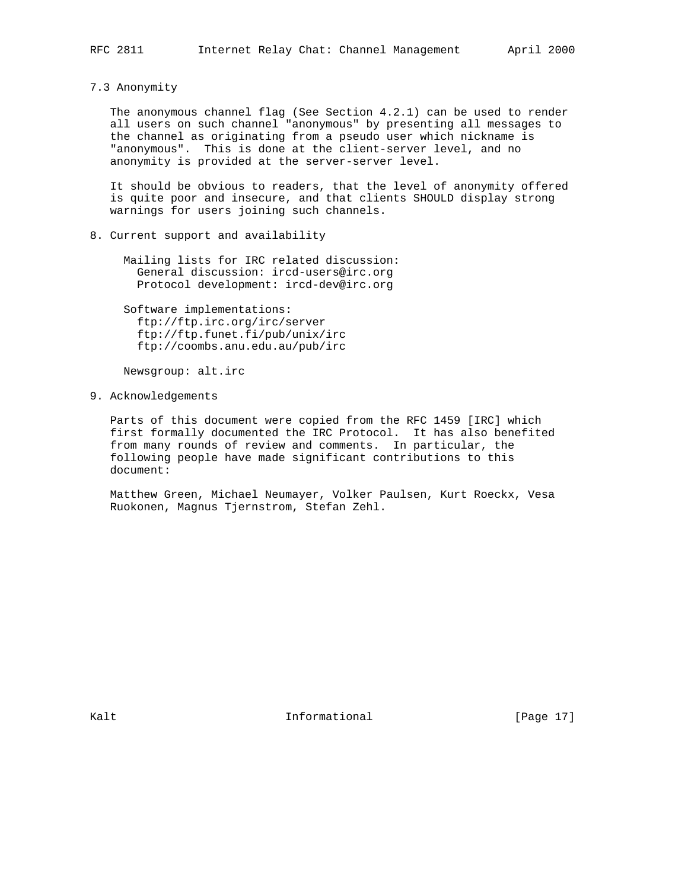7.3 Anonymity

 The anonymous channel flag (See Section 4.2.1) can be used to render all users on such channel "anonymous" by presenting all messages to the channel as originating from a pseudo user which nickname is "anonymous". This is done at the client-server level, and no anonymity is provided at the server-server level.

 It should be obvious to readers, that the level of anonymity offered is quite poor and insecure, and that clients SHOULD display strong warnings for users joining such channels.

8. Current support and availability

 Mailing lists for IRC related discussion: General discussion: ircd-users@irc.org Protocol development: ircd-dev@irc.org

 Software implementations: ftp://ftp.irc.org/irc/server ftp://ftp.funet.fi/pub/unix/irc ftp://coombs.anu.edu.au/pub/irc

Newsgroup: alt.irc

9. Acknowledgements

 Parts of this document were copied from the RFC 1459 [IRC] which first formally documented the IRC Protocol. It has also benefited from many rounds of review and comments. In particular, the following people have made significant contributions to this document:

 Matthew Green, Michael Neumayer, Volker Paulsen, Kurt Roeckx, Vesa Ruokonen, Magnus Tjernstrom, Stefan Zehl.

Kalt **Informational Informational** [Page 17]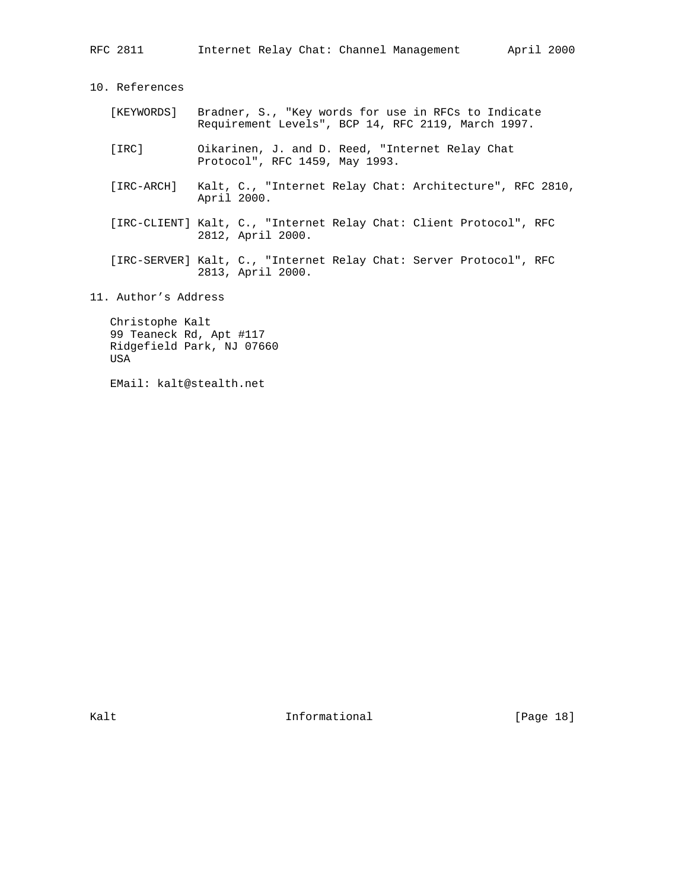| RFC 2811                                                                | April 2000<br>Internet Relay Chat: Channel Management                                                     |  |  |  |  |  |
|-------------------------------------------------------------------------|-----------------------------------------------------------------------------------------------------------|--|--|--|--|--|
| 10. References                                                          |                                                                                                           |  |  |  |  |  |
| [KEYWORDS]                                                              | Bradner, S., "Key words for use in RFCs to Indicate<br>Requirement Levels", BCP 14, RFC 2119, March 1997. |  |  |  |  |  |
| [IRC]                                                                   | Oikarinen, J. and D. Reed, "Internet Relay Chat<br>Protocol", RFC 1459, May 1993.                         |  |  |  |  |  |
|                                                                         | [IRC-ARCH] Kalt, C., "Internet Relay Chat: Architecture", RFC 2810,<br>April 2000.                        |  |  |  |  |  |
|                                                                         | [IRC-CLIENT] Kalt, C., "Internet Relay Chat: Client Protocol", RFC<br>2812, April 2000.                   |  |  |  |  |  |
|                                                                         | [IRC-SERVER] Kalt, C., "Internet Relay Chat: Server Protocol", RFC<br>2813, April 2000.                   |  |  |  |  |  |
| 11. Author's Address                                                    |                                                                                                           |  |  |  |  |  |
| Christophe Kalt<br>99 Teaneck Rd, Apt #117<br>Ridgefield Park, NJ 07660 |                                                                                                           |  |  |  |  |  |

USA

EMail: kalt@stealth.net

Kalt **Informational Informational** [Page 18]